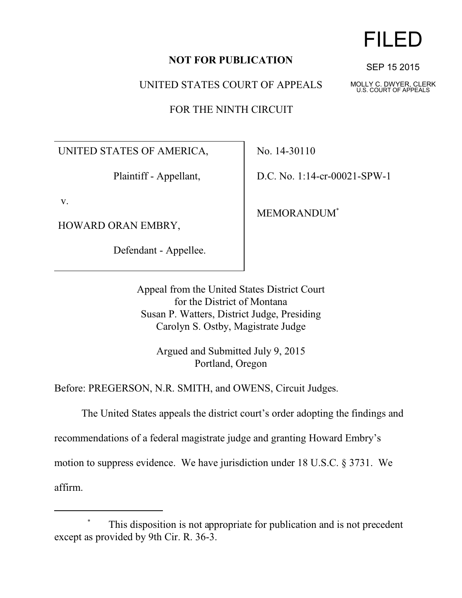## **NOT FOR PUBLICATION**

UNITED STATES COURT OF APPEALS

FOR THE NINTH CIRCUIT

UNITED STATES OF AMERICA,

Plaintiff - Appellant,

v.

HOWARD ORAN EMBRY,

Defendant - Appellee.

No. 14-30110

D.C. No. 1:14-cr-00021-SPW-1

MEMORANDUM\*

Appeal from the United States District Court for the District of Montana Susan P. Watters, District Judge, Presiding Carolyn S. Ostby, Magistrate Judge

> Argued and Submitted July 9, 2015 Portland, Oregon

Before: PREGERSON, N.R. SMITH, and OWENS, Circuit Judges.

The United States appeals the district court's order adopting the findings and

recommendations of a federal magistrate judge and granting Howard Embry's

motion to suppress evidence. We have jurisdiction under 18 U.S.C. § 3731. We

affirm.



SEP 15 2015

MOLLY C. DWYER, CLERK U.S. COURT OF APPEALS

This disposition is not appropriate for publication and is not precedent except as provided by 9th Cir. R. 36-3.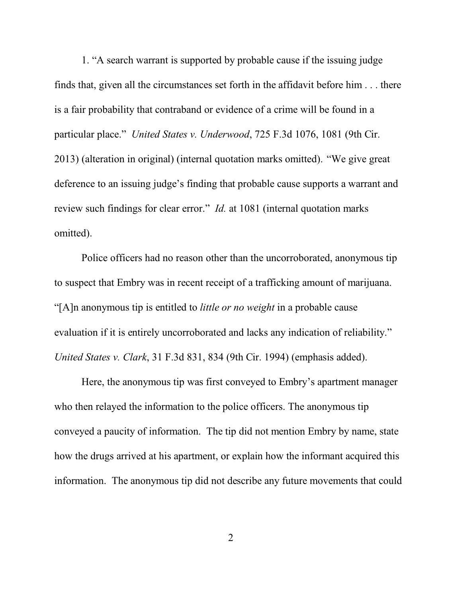1. "A search warrant is supported by probable cause if the issuing judge finds that, given all the circumstances set forth in the affidavit before him . . . there is a fair probability that contraband or evidence of a crime will be found in a particular place." *United States v. Underwood*, 725 F.3d 1076, 1081 (9th Cir. 2013) (alteration in original) (internal quotation marks omitted)."We give great deference to an issuing judge's finding that probable cause supports a warrant and review such findings for clear error." *Id.* at 1081 (internal quotation marks omitted).

Police officers had no reason other than the uncorroborated, anonymous tip to suspect that Embry was in recent receipt of a trafficking amount of marijuana. "[A]n anonymous tip is entitled to *little or no weight* in a probable cause evaluation if it is entirely uncorroborated and lacks any indication of reliability." *United States v. Clark*, 31 F.3d 831, 834 (9th Cir. 1994) (emphasis added).

Here, the anonymous tip was first conveyed to Embry's apartment manager who then relayed the information to the police officers. The anonymous tip conveyed a paucity of information. The tip did not mention Embry by name, state how the drugs arrived at his apartment, or explain how the informant acquired this information. The anonymous tip did not describe any future movements that could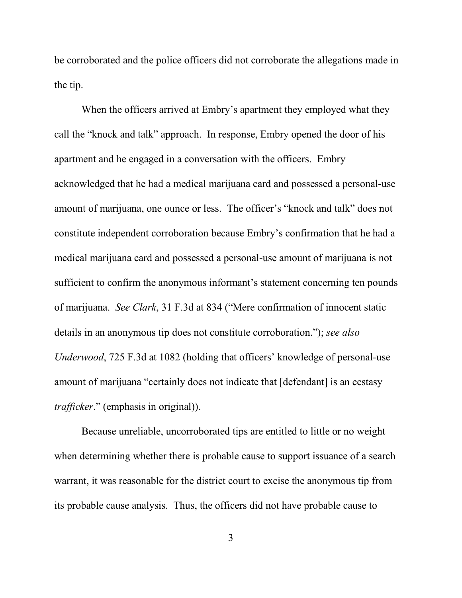be corroborated and the police officers did not corroborate the allegations made in the tip.

When the officers arrived at Embry's apartment they employed what they call the "knock and talk" approach. In response, Embry opened the door of his apartment and he engaged in a conversation with the officers. Embry acknowledged that he had a medical marijuana card and possessed a personal-use amount of marijuana, one ounce or less. The officer's "knock and talk" does not constitute independent corroboration because Embry's confirmation that he had a medical marijuana card and possessed a personal-use amount of marijuana is not sufficient to confirm the anonymous informant's statement concerning ten pounds of marijuana. *See Clark*, 31 F.3d at 834 ("Mere confirmation of innocent static details in an anonymous tip does not constitute corroboration."); *see also Underwood*, 725 F.3d at 1082 (holding that officers' knowledge of personal-use amount of marijuana "certainly does not indicate that [defendant] is an ecstasy *trafficker*." (emphasis in original)).

Because unreliable, uncorroborated tips are entitled to little or no weight when determining whether there is probable cause to support issuance of a search warrant, it was reasonable for the district court to excise the anonymous tip from its probable cause analysis. Thus, the officers did not have probable cause to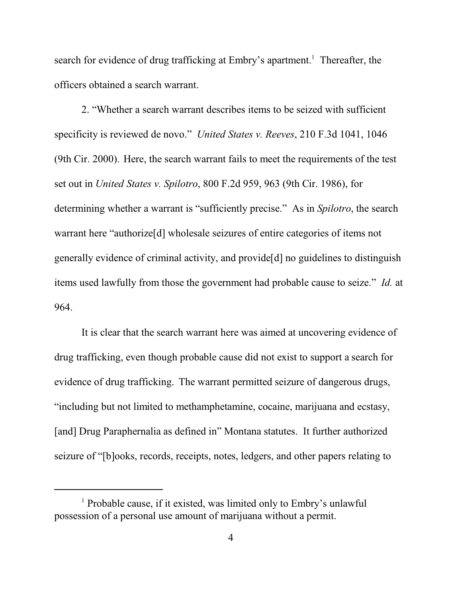search for evidence of drug trafficking at Embry's apartment.<sup>1</sup> Thereafter, the officers obtained a search warrant.

2. "Whether a search warrant describes items to be seized with sufficient specificity is reviewed de novo." *United States v. Reeves*, 210 F.3d 1041, 1046 (9th Cir. 2000).Here, the search warrant fails to meet the requirements of the test set out in *United States v. Spilotro*, 800 F.2d 959, 963 (9th Cir. 1986), for determining whether a warrant is "sufficiently precise." As in *Spilotro*, the search warrant here "authorize[d] wholesale seizures of entire categories of items not generally evidence of criminal activity, and provide[d] no guidelines to distinguish items used lawfully from those the government had probable cause to seize." *Id.* at 964.

It is clear that the search warrant here was aimed at uncovering evidence of drug trafficking, even though probable cause did not exist to support a search for evidence of drug trafficking. The warrant permitted seizure of dangerous drugs, "including but not limited to methamphetamine, cocaine, marijuana and ecstasy, [and] Drug Paraphernalia as defined in" Montana statutes. It further authorized seizure of "[b]ooks, records, receipts, notes, ledgers, and other papers relating to

<sup>&</sup>lt;sup>1</sup> Probable cause, if it existed, was limited only to Embry's unlawful possession of a personal use amount of marijuana without a permit.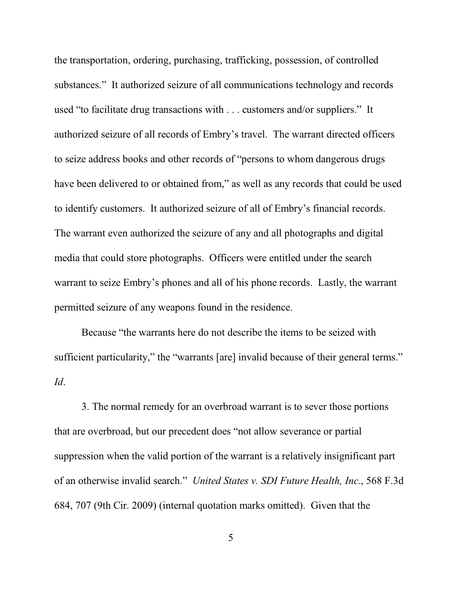the transportation, ordering, purchasing, trafficking, possession, of controlled substances." It authorized seizure of all communications technology and records used "to facilitate drug transactions with . . . customers and/or suppliers." It authorized seizure of all records of Embry's travel. The warrant directed officers to seize address books and other records of "persons to whom dangerous drugs have been delivered to or obtained from," as well as any records that could be used to identify customers. It authorized seizure of all of Embry's financial records. The warrant even authorized the seizure of any and all photographs and digital media that could store photographs. Officers were entitled under the search warrant to seize Embry's phones and all of his phone records. Lastly, the warrant permitted seizure of any weapons found in the residence.

Because "the warrants here do not describe the items to be seized with sufficient particularity," the "warrants [are] invalid because of their general terms." *Id*.

3. The normal remedy for an overbroad warrant is to sever those portions that are overbroad, but our precedent does "not allow severance or partial suppression when the valid portion of the warrant is a relatively insignificant part of an otherwise invalid search." *United States v. SDI Future Health, Inc.*, 568 F.3d 684, 707 (9th Cir. 2009) (internal quotation marks omitted). Given that the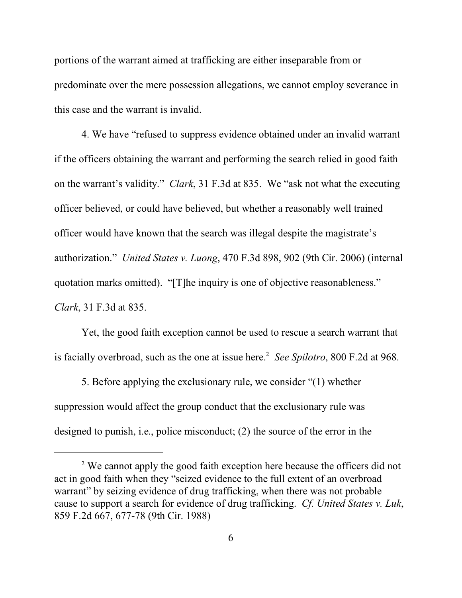portions of the warrant aimed at trafficking are either inseparable from or predominate over the mere possession allegations, we cannot employ severance in this case and the warrant is invalid.

4. We have "refused to suppress evidence obtained under an invalid warrant if the officers obtaining the warrant and performing the search relied in good faith on the warrant's validity." *Clark*, 31 F.3d at 835. We "ask not what the executing officer believed, or could have believed, but whether a reasonably well trained officer would have known that the search was illegal despite the magistrate's authorization." *United States v. Luong*, 470 F.3d 898, 902 (9th Cir. 2006) (internal quotation marks omitted). "[T]he inquiry is one of objective reasonableness." *Clark*, 31 F.3d at 835.

Yet, the good faith exception cannot be used to rescue a search warrant that is facially overbroad, such as the one at issue here. 2 *See Spilotro*, 800 F.2d at 968.

5. Before applying the exclusionary rule, we consider "(1) whether suppression would affect the group conduct that the exclusionary rule was designed to punish, i.e., police misconduct; (2) the source of the error in the

<sup>&</sup>lt;sup>2</sup> We cannot apply the good faith exception here because the officers did not act in good faith when they "seized evidence to the full extent of an overbroad warrant" by seizing evidence of drug trafficking, when there was not probable cause to support a search for evidence of drug trafficking. *Cf. United States v. Luk*, 859 F.2d 667, 677-78 (9th Cir. 1988)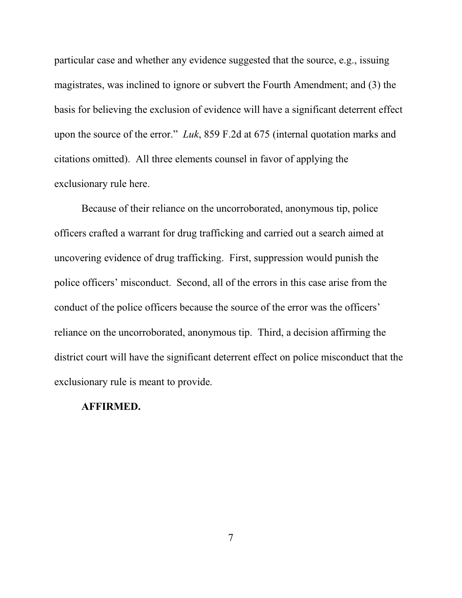particular case and whether any evidence suggested that the source, e.g., issuing magistrates, was inclined to ignore or subvert the Fourth Amendment; and (3) the basis for believing the exclusion of evidence will have a significant deterrent effect upon the source of the error." *Luk*, 859 F.2d at 675 (internal quotation marks and citations omitted). All three elements counsel in favor of applying the exclusionary rule here.

Because of their reliance on the uncorroborated, anonymous tip, police officers crafted a warrant for drug trafficking and carried out a search aimed at uncovering evidence of drug trafficking. First, suppression would punish the police officers' misconduct. Second, all of the errors in this case arise from the conduct of the police officers because the source of the error was the officers' reliance on the uncorroborated, anonymous tip. Third, a decision affirming the district court will have the significant deterrent effect on police misconduct that the exclusionary rule is meant to provide.

## **AFFIRMED.**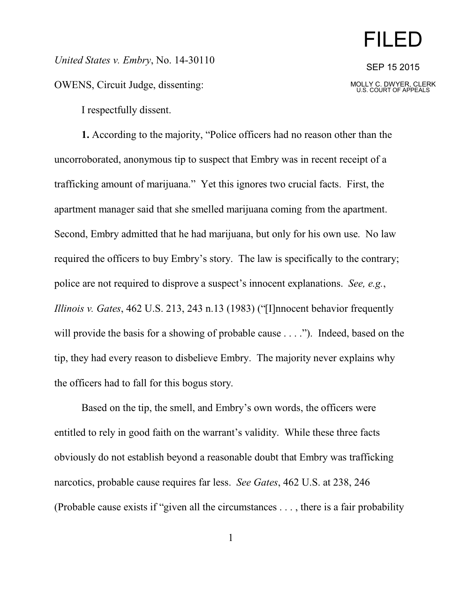## FILED

SEP 15 2015

MOLLY C. DWYER, CLERK U.S. COURT OF APPEALS

*United States v. Embry*, No. 14-30110

OWENS, Circuit Judge, dissenting:

I respectfully dissent.

**1.** According to the majority, "Police officers had no reason other than the uncorroborated, anonymous tip to suspect that Embry was in recent receipt of a trafficking amount of marijuana." Yet this ignores two crucial facts. First, the apartment manager said that she smelled marijuana coming from the apartment. Second, Embry admitted that he had marijuana, but only for his own use. No law required the officers to buy Embry's story. The law is specifically to the contrary; police are not required to disprove a suspect's innocent explanations. *See, e.g.*, *Illinois v. Gates*, 462 U.S. 213, 243 n.13 (1983) ("[I]nnocent behavior frequently will provide the basis for a showing of probable cause . . . ."). Indeed, based on the tip, they had every reason to disbelieve Embry. The majority never explains why the officers had to fall for this bogus story.

Based on the tip, the smell, and Embry's own words, the officers were entitled to rely in good faith on the warrant's validity. While these three facts obviously do not establish beyond a reasonable doubt that Embry was trafficking narcotics, probable cause requires far less. *See Gates*, 462 U.S. at 238, 246 (Probable cause exists if "given all the circumstances . . . , there is a fair probability

1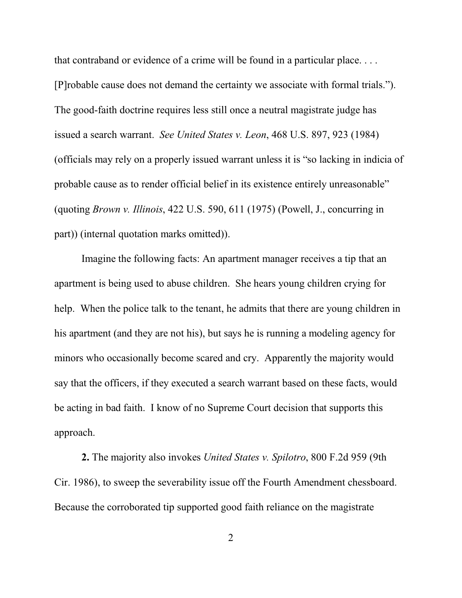that contraband or evidence of a crime will be found in a particular place. . . . [P]robable cause does not demand the certainty we associate with formal trials."). The good-faith doctrine requires less still once a neutral magistrate judge has issued a search warrant. *See United States v. Leon*, 468 U.S. 897, 923 (1984) (officials may rely on a properly issued warrant unless it is "so lacking in indicia of probable cause as to render official belief in its existence entirely unreasonable" (quoting *Brown v. Illinois*, 422 U.S. 590, 611 (1975) (Powell, J., concurring in part)) (internal quotation marks omitted)).

Imagine the following facts: An apartment manager receives a tip that an apartment is being used to abuse children. She hears young children crying for help. When the police talk to the tenant, he admits that there are young children in his apartment (and they are not his), but says he is running a modeling agency for minors who occasionally become scared and cry. Apparently the majority would say that the officers, if they executed a search warrant based on these facts, would be acting in bad faith. I know of no Supreme Court decision that supports this approach.

**2.** The majority also invokes *United States v. Spilotro*, 800 F.2d 959 (9th Cir. 1986), to sweep the severability issue off the Fourth Amendment chessboard. Because the corroborated tip supported good faith reliance on the magistrate